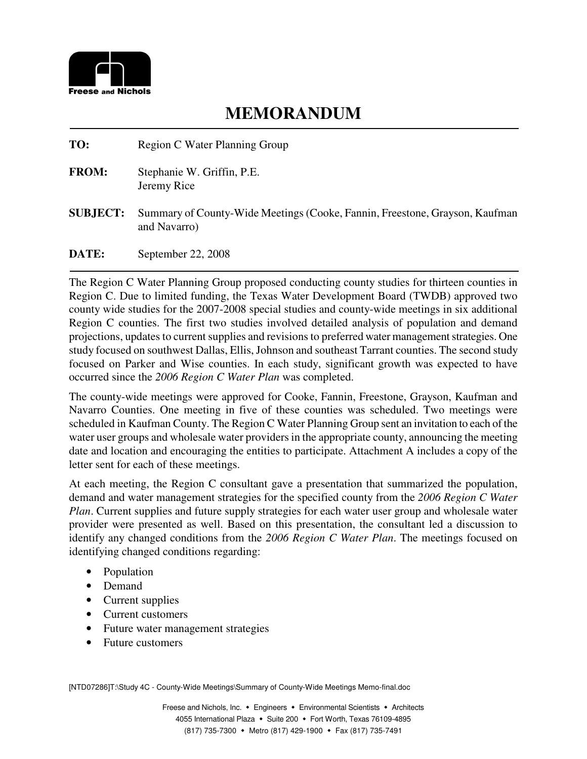

**TO:** Region C Water Planning Group

- **FROM:** Stephanie W. Griffin, P.E. Jeremy Rice
- **SUBJECT:** Summary of County-Wide Meetings (Cooke, Fannin, Freestone, Grayson, Kaufman and Navarro)

**DATE:** September 22, 2008

The Region C Water Planning Group proposed conducting county studies for thirteen counties in Region C. Due to limited funding, the Texas Water Development Board (TWDB) approved two county wide studies for the 2007-2008 special studies and county-wide meetings in six additional Region C counties. The first two studies involved detailed analysis of population and demand projections, updates to current supplies and revisions to preferred water management strategies. One study focused on southwest Dallas, Ellis, Johnson and southeast Tarrant counties. The second study focused on Parker and Wise counties. In each study, significant growth was expected to have occurred since the *2006 Region C Water Plan* was completed.

The county-wide meetings were approved for Cooke, Fannin, Freestone, Grayson, Kaufman and Navarro Counties. One meeting in five of these counties was scheduled. Two meetings were scheduled in Kaufman County. The Region C Water Planning Group sent an invitation to each of the water user groups and wholesale water providers in the appropriate county, announcing the meeting date and location and encouraging the entities to participate. Attachment A includes a copy of the letter sent for each of these meetings.

At each meeting, the Region C consultant gave a presentation that summarized the population, demand and water management strategies for the specified county from the *2006 Region C Water Plan*. Current supplies and future supply strategies for each water user group and wholesale water provider were presented as well. Based on this presentation, the consultant led a discussion to identify any changed conditions from the *2006 Region C Water Plan*. The meetings focused on identifying changed conditions regarding:

- Population
- Demand
- Current supplies
- Current customers
- Future water management strategies
- Future customers

[NTD07286]T:\Study 4C - County-Wide Meetings\Summary of County-Wide Meetings Memo-final.doc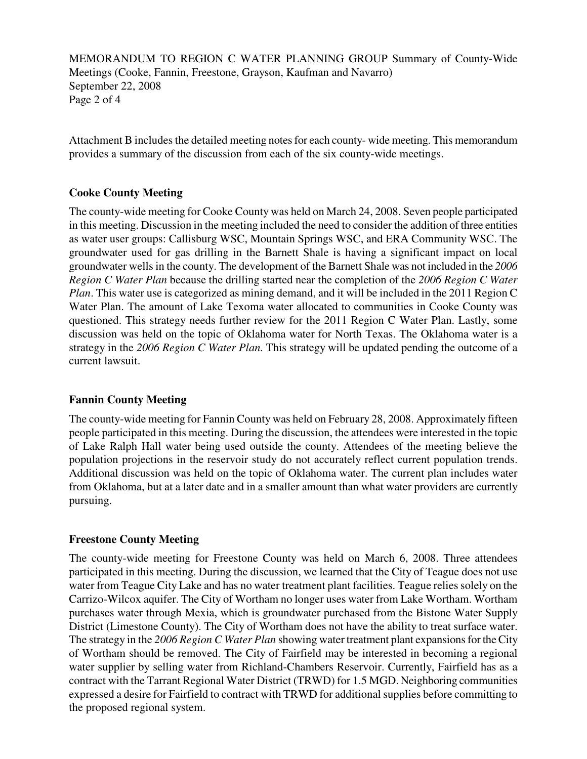MEMORANDUM TO REGION C WATER PLANNING GROUP Summary of County-Wide Meetings (Cooke, Fannin, Freestone, Grayson, Kaufman and Navarro) September 22, 2008 Page 2 of 4

Attachment B includes the detailed meeting notes for each county- wide meeting. This memorandum provides a summary of the discussion from each of the six county-wide meetings.

## **Cooke County Meeting**

The county-wide meeting for Cooke County was held on March 24, 2008. Seven people participated in this meeting. Discussion in the meeting included the need to consider the addition of three entities as water user groups: Callisburg WSC, Mountain Springs WSC, and ERA Community WSC. The groundwater used for gas drilling in the Barnett Shale is having a significant impact on local groundwater wells in the county. The development of the Barnett Shale was not included in the *2006 Region C Water Plan* because the drilling started near the completion of the *2006 Region C Water Plan*. This water use is categorized as mining demand, and it will be included in the 2011 Region C Water Plan. The amount of Lake Texoma water allocated to communities in Cooke County was questioned. This strategy needs further review for the 2011 Region C Water Plan. Lastly, some discussion was held on the topic of Oklahoma water for North Texas. The Oklahoma water is a strategy in the *2006 Region C Water Plan.* This strategy will be updated pending the outcome of a current lawsuit.

## **Fannin County Meeting**

The county-wide meeting for Fannin County was held on February 28, 2008. Approximately fifteen people participated in this meeting. During the discussion, the attendees were interested in the topic of Lake Ralph Hall water being used outside the county. Attendees of the meeting believe the population projections in the reservoir study do not accurately reflect current population trends. Additional discussion was held on the topic of Oklahoma water. The current plan includes water from Oklahoma, but at a later date and in a smaller amount than what water providers are currently pursuing.

## **Freestone County Meeting**

The county-wide meeting for Freestone County was held on March 6, 2008. Three attendees participated in this meeting. During the discussion, we learned that the City of Teague does not use water from Teague City Lake and has no water treatment plant facilities. Teague relies solely on the Carrizo-Wilcox aquifer. The City of Wortham no longer uses water from Lake Wortham. Wortham purchases water through Mexia, which is groundwater purchased from the Bistone Water Supply District (Limestone County). The City of Wortham does not have the ability to treat surface water. The strategy in the *2006 Region C Water Plan* showing water treatment plant expansions for the City of Wortham should be removed. The City of Fairfield may be interested in becoming a regional water supplier by selling water from Richland-Chambers Reservoir. Currently, Fairfield has as a contract with the Tarrant Regional Water District (TRWD) for 1.5 MGD. Neighboring communities expressed a desire for Fairfield to contract with TRWD for additional supplies before committing to the proposed regional system.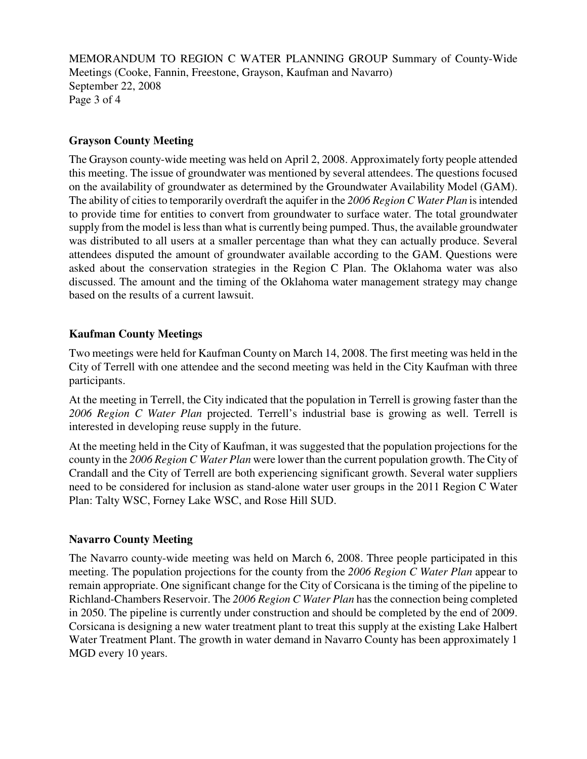MEMORANDUM TO REGION C WATER PLANNING GROUP Summary of County-Wide Meetings (Cooke, Fannin, Freestone, Grayson, Kaufman and Navarro) September 22, 2008 Page 3 of 4

#### **Grayson County Meeting**

The Grayson county-wide meeting was held on April 2, 2008. Approximately forty people attended this meeting. The issue of groundwater was mentioned by several attendees. The questions focused on the availability of groundwater as determined by the Groundwater Availability Model (GAM). The ability of cities to temporarily overdraft the aquifer in the *2006 Region C Water Plan* is intended to provide time for entities to convert from groundwater to surface water. The total groundwater supply from the model is less than what is currently being pumped. Thus, the available groundwater was distributed to all users at a smaller percentage than what they can actually produce. Several attendees disputed the amount of groundwater available according to the GAM. Questions were asked about the conservation strategies in the Region C Plan. The Oklahoma water was also discussed. The amount and the timing of the Oklahoma water management strategy may change based on the results of a current lawsuit.

#### **Kaufman County Meetings**

Two meetings were held for Kaufman County on March 14, 2008. The first meeting was held in the City of Terrell with one attendee and the second meeting was held in the City Kaufman with three participants.

At the meeting in Terrell, the City indicated that the population in Terrell is growing faster than the *2006 Region C Water Plan* projected. Terrell's industrial base is growing as well. Terrell is interested in developing reuse supply in the future.

At the meeting held in the City of Kaufman, it was suggested that the population projections for the county in the *2006 Region C Water Plan* were lower than the current population growth. The City of Crandall and the City of Terrell are both experiencing significant growth. Several water suppliers need to be considered for inclusion as stand-alone water user groups in the 2011 Region C Water Plan: Talty WSC, Forney Lake WSC, and Rose Hill SUD.

#### **Navarro County Meeting**

The Navarro county-wide meeting was held on March 6, 2008. Three people participated in this meeting. The population projections for the county from the *2006 Region C Water Plan* appear to remain appropriate. One significant change for the City of Corsicana is the timing of the pipeline to Richland-Chambers Reservoir. The *2006 Region C Water Plan* has the connection being completed in 2050. The pipeline is currently under construction and should be completed by the end of 2009. Corsicana is designing a new water treatment plant to treat this supply at the existing Lake Halbert Water Treatment Plant. The growth in water demand in Navarro County has been approximately 1 MGD every 10 years.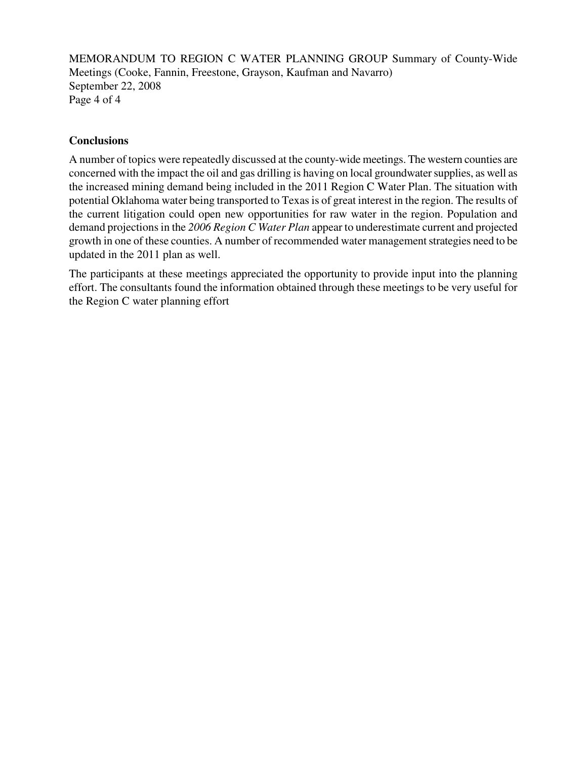MEMORANDUM TO REGION C WATER PLANNING GROUP Summary of County-Wide Meetings (Cooke, Fannin, Freestone, Grayson, Kaufman and Navarro) September 22, 2008 Page 4 of 4

## **Conclusions**

A number of topics were repeatedly discussed at the county-wide meetings. The western counties are concerned with the impact the oil and gas drilling is having on local groundwater supplies, as well as the increased mining demand being included in the 2011 Region C Water Plan. The situation with potential Oklahoma water being transported to Texas is of great interest in the region. The results of the current litigation could open new opportunities for raw water in the region. Population and demand projections in the *2006 Region C Water Plan* appear to underestimate current and projected growth in one of these counties. A number of recommended water management strategies need to be updated in the 2011 plan as well.

The participants at these meetings appreciated the opportunity to provide input into the planning effort. The consultants found the information obtained through these meetings to be very useful for the Region C water planning effort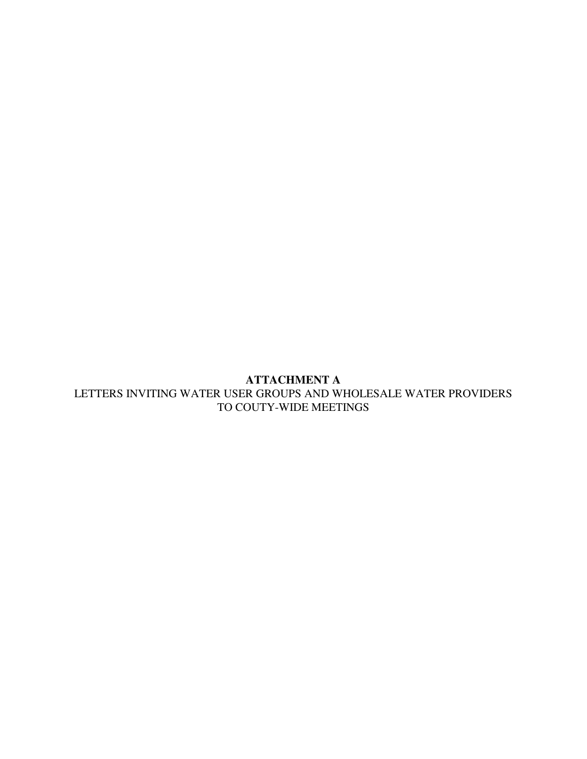## **ATTACHMENT A**  LETTERS INVITING WATER USER GROUPS AND WHOLESALE WATER PROVIDERS TO COUTY-WIDE MEETINGS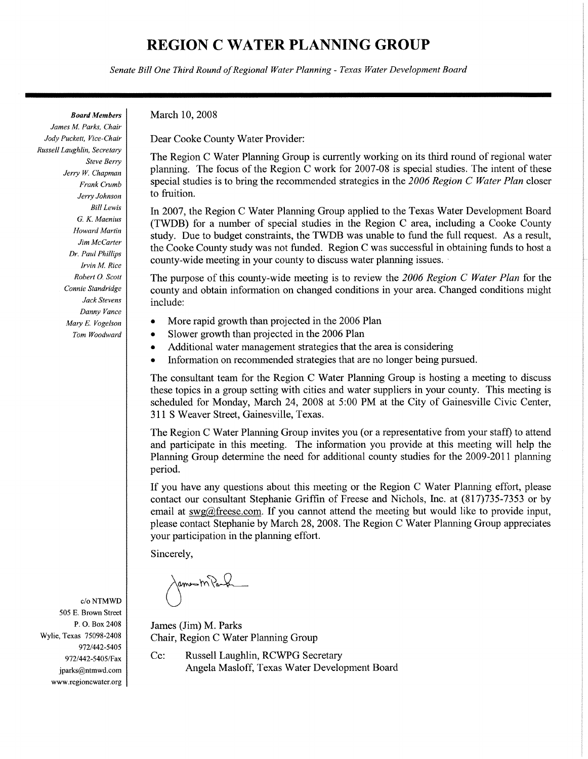Senate Bill One Third Round of Regional Water Planning - Texas Water Development Board

**Board Members** 

James M. Parks, Chair Jody Puckett, Vice-Chair Russell Laughlin, Secretary Steve Berry Jerry W. Chapman Frank Crumb Jerry Johnson **Bill Lewis** G. K. Maenius **Howard Martin** Jim McCarter Dr. Paul Phillips Irvin M. Rice Robert O. Scott Connie Standridge Jack Stevens Danny Vance Mary E. Vogelson Tom Woodward

March 10, 2008

Dear Cooke County Water Provider:

The Region C Water Planning Group is currently working on its third round of regional water planning. The focus of the Region C work for 2007-08 is special studies. The intent of these special studies is to bring the recommended strategies in the 2006 Region C Water Plan closer to fruition.

In 2007, the Region C Water Planning Group applied to the Texas Water Development Board (TWDB) for a number of special studies in the Region C area, including a Cooke County study. Due to budget constraints, the TWDB was unable to fund the full request. As a result, the Cooke County study was not funded. Region C was successful in obtaining funds to host a county-wide meeting in your county to discuss water planning issues.

The purpose of this county-wide meeting is to review the 2006 Region C Water Plan for the county and obtain information on changed conditions in your area. Changed conditions might include:

- More rapid growth than projected in the 2006 Plan  $\bullet$
- Slower growth than projected in the 2006 Plan
- Additional water management strategies that the area is considering
- Information on recommended strategies that are no longer being pursued.  $\bullet$

The consultant team for the Region C Water Planning Group is hosting a meeting to discuss these topics in a group setting with cities and water suppliers in your county. This meeting is scheduled for Monday, March 24, 2008 at 5:00 PM at the City of Gainesville Civic Center, 311 S Weaver Street, Gainesville, Texas.

The Region C Water Planning Group invites you (or a representative from your staff) to attend and participate in this meeting. The information you provide at this meeting will help the Planning Group determine the need for additional county studies for the 2009-2011 planning period.

If you have any questions about this meeting or the Region C Water Planning effort, please contact our consultant Stephanie Griffin of Freese and Nichols, Inc. at (817)735-7353 or by email at  $swa@freese.com$ . If you cannot attend the meeting but would like to provide input. please contact Stephanie by March 28, 2008. The Region C Water Planning Group appreciates your participation in the planning effort.

Sincerely,

James M Paul

James (Jim) M. Parks Chair, Region C Water Planning Group

Cc: Russell Laughlin, RCWPG Secretary Angela Masloff, Texas Water Development Board

 $c/\sigma$  NTMWD 505 E. Brown Street P.O. Box 2408 Wylie, Texas 75098-2408 972/442-5405 972/442-5405/Fax jparks@ntmwd.com www.regioncwater.org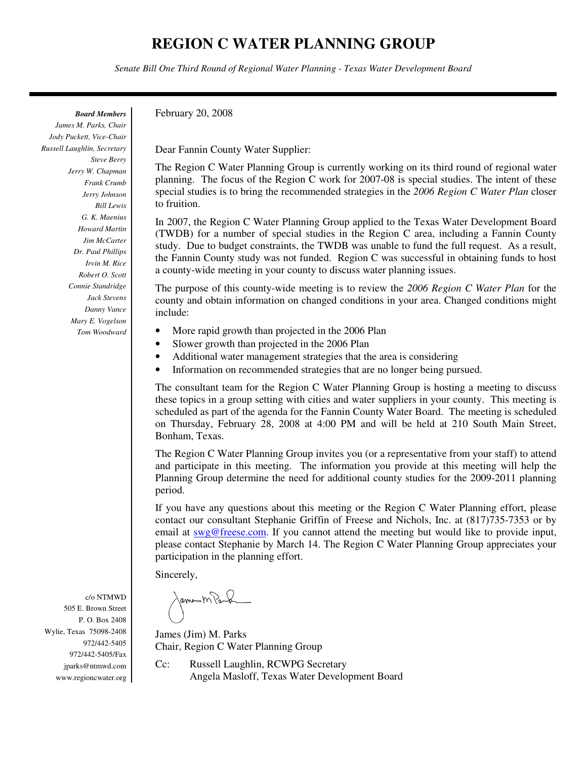*Senate Bill One Third Round of Regional Water Planning - Texas Water Development Board*

*Board Members*

*James M. Parks, Chair Jody Puckett, Vice-Chair Russell Laughlin, Secretary Steve Berry Jerry W. Chapman Frank Crumb Jerry Johnson Bill Lewis G. K. Maenius Howard Martin Jim McCarter Dr. Paul Phillips Irvin M. Rice Robert O. Scott Connie Standridge Jack Stevens Danny Vance Mary E. Vogelson Tom Woodward* February 20, 2008

Dear Fannin County Water Supplier:

The Region C Water Planning Group is currently working on its third round of regional water planning. The focus of the Region C work for 2007-08 is special studies. The intent of these special studies is to bring the recommended strategies in the *2006 Region C Water Plan* closer to fruition.

In 2007, the Region C Water Planning Group applied to the Texas Water Development Board (TWDB) for a number of special studies in the Region C area, including a Fannin County study. Due to budget constraints, the TWDB was unable to fund the full request. As a result, the Fannin County study was not funded. Region C was successful in obtaining funds to host a county-wide meeting in your county to discuss water planning issues.

The purpose of this county-wide meeting is to review the *2006 Region C Water Plan* for the county and obtain information on changed conditions in your area. Changed conditions might include:

- More rapid growth than projected in the 2006 Plan
- Slower growth than projected in the 2006 Plan
- Additional water management strategies that the area is considering
- Information on recommended strategies that are no longer being pursued.

The consultant team for the Region C Water Planning Group is hosting a meeting to discuss these topics in a group setting with cities and water suppliers in your county. This meeting is scheduled as part of the agenda for the Fannin County Water Board. The meeting is scheduled on Thursday, February 28, 2008 at 4:00 PM and will be held at 210 South Main Street, Bonham, Texas.

The Region C Water Planning Group invites you (or a representative from your staff) to attend and participate in this meeting. The information you provide at this meeting will help the Planning Group determine the need for additional county studies for the 2009-2011 planning period.

If you have any questions about this meeting or the Region C Water Planning effort, please contact our consultant Stephanie Griffin of Freese and Nichols, Inc. at (817)735-7353 or by email at swg@freese.com. If you cannot attend the meeting but would like to provide input, please contact Stephanie by March 14. The Region C Water Planning Group appreciates your participation in the planning effort.

Sincerely,

James M Park

James (Jim) M. Parks Chair, Region C Water Planning Group

Cc: Russell Laughlin, RCWPG Secretary Angela Masloff, Texas Water Development Board

c/o NTMWD 505 E. Brown Street P. O. Box 2408 Wylie, Texas 75098-2408 972/442-5405 972/442-5405/Fax jparks@ntmwd.com www.regioncwater.org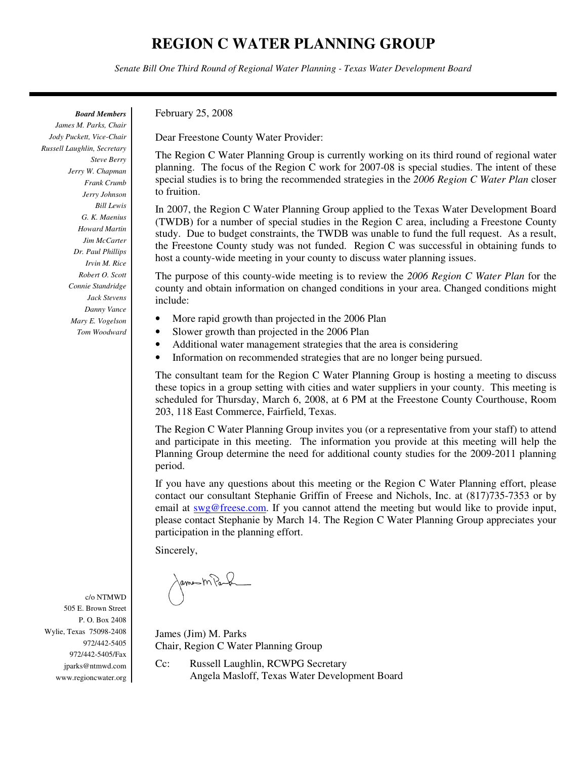*Senate Bill One Third Round of Regional Water Planning - Texas Water Development Board*

*Board Members* 

*James M. Parks, Chair Jody Puckett, Vice-Chair Russell Laughlin, Secretary Steve Berry Jerry W. Chapman Frank Crumb Jerry Johnson Bill Lewis G. K. Maenius Howard Martin Jim McCarter Dr. Paul Phillips Irvin M. Rice Robert O. Scott Connie Standridge Jack Stevens Danny Vance Mary E. Vogelson Tom Woodward*  February 25, 2008

Dear Freestone County Water Provider:

The Region C Water Planning Group is currently working on its third round of regional water planning. The focus of the Region C work for 2007-08 is special studies. The intent of these special studies is to bring the recommended strategies in the *2006 Region C Water Plan* closer to fruition.

In 2007, the Region C Water Planning Group applied to the Texas Water Development Board (TWDB) for a number of special studies in the Region C area, including a Freestone County study. Due to budget constraints, the TWDB was unable to fund the full request. As a result, the Freestone County study was not funded. Region C was successful in obtaining funds to host a county-wide meeting in your county to discuss water planning issues.

The purpose of this county-wide meeting is to review the *2006 Region C Water Plan* for the county and obtain information on changed conditions in your area. Changed conditions might include:

- More rapid growth than projected in the 2006 Plan
- Slower growth than projected in the 2006 Plan
- Additional water management strategies that the area is considering
- Information on recommended strategies that are no longer being pursued.

The consultant team for the Region C Water Planning Group is hosting a meeting to discuss these topics in a group setting with cities and water suppliers in your county. This meeting is scheduled for Thursday, March 6, 2008, at 6 PM at the Freestone County Courthouse, Room 203, 118 East Commerce, Fairfield, Texas.

The Region C Water Planning Group invites you (or a representative from your staff) to attend and participate in this meeting. The information you provide at this meeting will help the Planning Group determine the need for additional county studies for the 2009-2011 planning period.

If you have any questions about this meeting or the Region C Water Planning effort, please contact our consultant Stephanie Griffin of Freese and Nichols, Inc. at (817)735-7353 or by email at swg@freese.com. If you cannot attend the meeting but would like to provide input, please contact Stephanie by March 14. The Region C Water Planning Group appreciates your participation in the planning effort.

Sincerely,

James M Paul

James (Jim) M. Parks Chair, Region C Water Planning Group

Cc: Russell Laughlin, RCWPG Secretary Angela Masloff, Texas Water Development Board

505 E. Brown Street P. O. Box 2408 Wylie, Texas 75098-2408 972/442-5405 972/442-5405/Fax jparks@ntmwd.com www.regioncwater.org

c/o NTMWD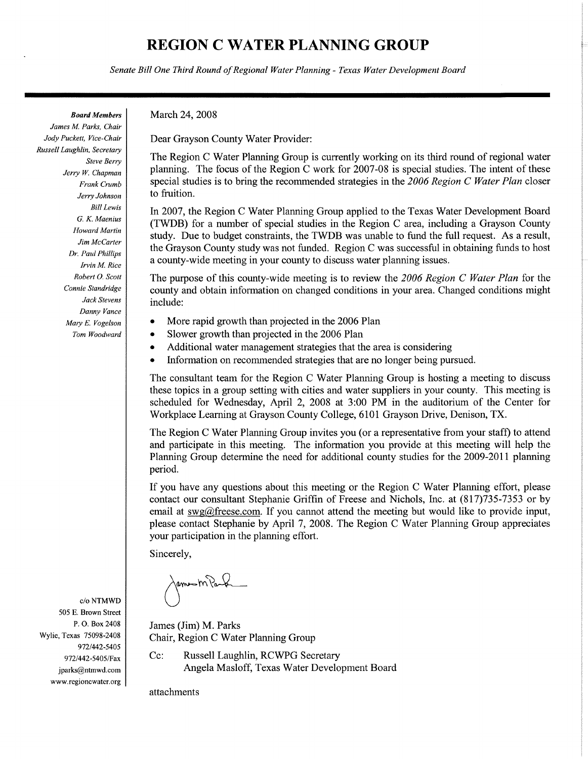Senate Bill One Third Round of Regional Water Planning - Texas Water Development Board

**Board Members** 

James M. Parks, Chair Jody Puckett, Vice-Chair Russell Laughlin, Secretary **Steve Berry** Jerry W. Chapman Frank Crumb Jerry Johnson **Bill Lewis** G. K. Maenius **Howard Martin** Jim McCarter Dr. Paul Phillips Irvin M. Rice Robert O. Scott Connie Standridge Jack Stevens Danny Vance Mary E. Vogelson Tom Woodward

c/o NTMWD 505 E. Brown Street P.O. Box 2408 Wylie, Texas 75098-2408 972/442-5405 972/442-5405/Fax jparks@ntmwd.com www.regioncwater.org March 24, 2008

Dear Grayson County Water Provider:

The Region C Water Planning Group is currently working on its third round of regional water planning. The focus of the Region C work for 2007-08 is special studies. The intent of these special studies is to bring the recommended strategies in the 2006 Region C Water Plan closer to fruition.

In 2007, the Region C Water Planning Group applied to the Texas Water Development Board (TWDB) for a number of special studies in the Region C area, including a Grayson County study. Due to budget constraints, the TWDB was unable to fund the full request. As a result, the Grayson County study was not funded. Region C was successful in obtaining funds to host a county-wide meeting in your county to discuss water planning issues.

The purpose of this county-wide meeting is to review the 2006 Region C Water Plan for the county and obtain information on changed conditions in your area. Changed conditions might include:

- More rapid growth than projected in the 2006 Plan  $\bullet$
- Slower growth than projected in the 2006 Plan
- Additional water management strategies that the area is considering
- $\bullet$ Information on recommended strategies that are no longer being pursued.

The consultant team for the Region C Water Planning Group is hosting a meeting to discuss these topics in a group setting with cities and water suppliers in your county. This meeting is scheduled for Wednesday, April 2, 2008 at 3:00 PM in the auditorium of the Center for Workplace Learning at Grayson County College, 6101 Grayson Drive, Denison, TX.

The Region C Water Planning Group invites you (or a representative from your staff) to attend and participate in this meeting. The information you provide at this meeting will help the Planning Group determine the need for additional county studies for the 2009-2011 planning period.

If you have any questions about this meeting or the Region C Water Planning effort, please contact our consultant Stephanie Griffin of Freese and Nichols, Inc. at (817)735-7353 or by email at  $swg@freese.com$ . If you cannot attend the meeting but would like to provide input, please contact Stephanie by April 7, 2008. The Region C Water Planning Group appreciates your participation in the planning effort.

Sincerely,

James MPark

James (Jim) M. Parks Chair, Region C Water Planning Group

Cc: Russell Laughlin, RCWPG Secretary Angela Masloff, Texas Water Development Board

attachments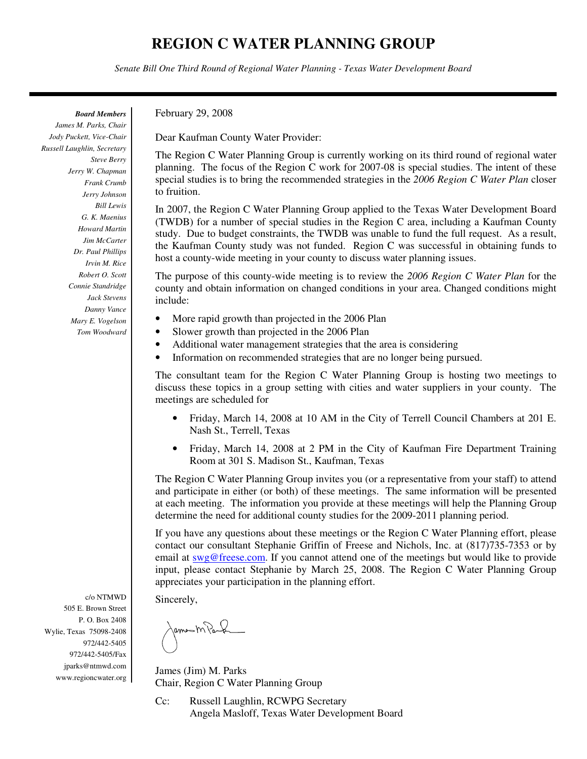*Senate Bill One Third Round of Regional Water Planning - Texas Water Development Board*

*Board Members* 

*James M. Parks, Chair Jody Puckett, Vice-Chair Russell Laughlin, Secretary Steve Berry Jerry W. Chapman Frank Crumb Jerry Johnson Bill Lewis G. K. Maenius Howard Martin Jim McCarter Dr. Paul Phillips Irvin M. Rice Robert O. Scott Connie Standridge Jack Stevens Danny Vance Mary E. Vogelson Tom Woodward* 

c/o NTMWD 505 E. Brown Street P. O. Box 2408 Wylie, Texas 75098-2408 972/442-5405 972/442-5405/Fax jparks@ntmwd.com www.regioncwater.org February 29, 2008

Dear Kaufman County Water Provider:

The Region C Water Planning Group is currently working on its third round of regional water planning. The focus of the Region C work for 2007-08 is special studies. The intent of these special studies is to bring the recommended strategies in the *2006 Region C Water Plan* closer to fruition.

In 2007, the Region C Water Planning Group applied to the Texas Water Development Board (TWDB) for a number of special studies in the Region C area, including a Kaufman County study. Due to budget constraints, the TWDB was unable to fund the full request. As a result, the Kaufman County study was not funded. Region C was successful in obtaining funds to host a county-wide meeting in your county to discuss water planning issues.

The purpose of this county-wide meeting is to review the *2006 Region C Water Plan* for the county and obtain information on changed conditions in your area. Changed conditions might include:

- More rapid growth than projected in the 2006 Plan
- Slower growth than projected in the 2006 Plan
- Additional water management strategies that the area is considering
- Information on recommended strategies that are no longer being pursued.

The consultant team for the Region C Water Planning Group is hosting two meetings to discuss these topics in a group setting with cities and water suppliers in your county. The meetings are scheduled for

- Friday, March 14, 2008 at 10 AM in the City of Terrell Council Chambers at 201 E. Nash St., Terrell, Texas
- Friday, March 14, 2008 at 2 PM in the City of Kaufman Fire Department Training Room at 301 S. Madison St., Kaufman, Texas

The Region C Water Planning Group invites you (or a representative from your staff) to attend and participate in either (or both) of these meetings. The same information will be presented at each meeting. The information you provide at these meetings will help the Planning Group determine the need for additional county studies for the 2009-2011 planning period.

If you have any questions about these meetings or the Region C Water Planning effort, please contact our consultant Stephanie Griffin of Freese and Nichols, Inc. at (817)735-7353 or by email at  $swg@freese.com$ . If you cannot attend one of the meetings but would like to provide input, please contact Stephanie by March 25, 2008. The Region C Water Planning Group appreciates your participation in the planning effort.

Sincerely,

James M Paul

James (Jim) M. Parks Chair, Region C Water Planning Group

Cc: Russell Laughlin, RCWPG Secretary Angela Masloff, Texas Water Development Board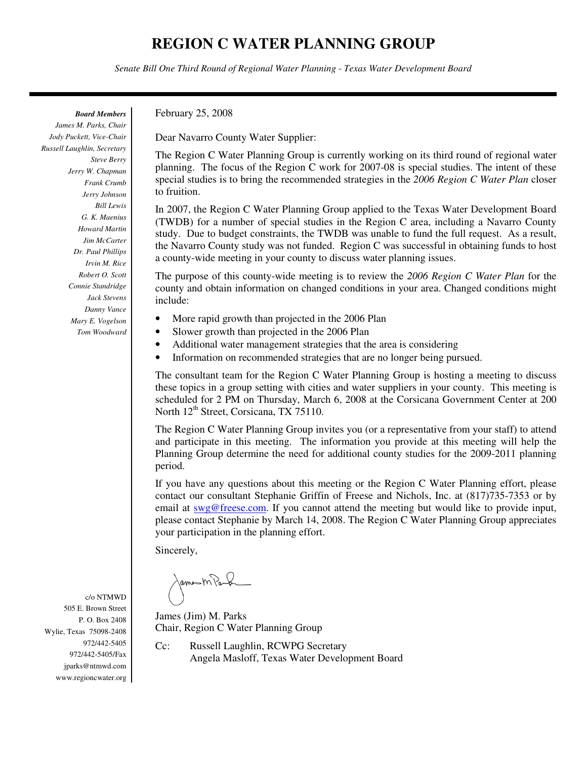*Senate Bill One Third Round of Regional Water Planning - Texas Water Development Board*

*Board Members* 

*James M. Parks, Chair Jody Puckett, Vice-Chair Russell Laughlin, Secretary Steve Berry Jerry W. Chapman Frank Crumb Jerry Johnson Bill Lewis G. K. Maenius Howard Martin Jim McCarter Dr. Paul Phillips Irvin M. Rice Robert O. Scott Connie Standridge Jack Stevens Danny Vance Mary E. Vogelson Tom Woodward* 

February 25, 2008

Dear Navarro County Water Supplier:

The Region C Water Planning Group is currently working on its third round of regional water planning. The focus of the Region C work for 2007-08 is special studies. The intent of these special studies is to bring the recommended strategies in the *2006 Region C Water Plan* closer to fruition.

In 2007, the Region C Water Planning Group applied to the Texas Water Development Board (TWDB) for a number of special studies in the Region C area, including a Navarro County study. Due to budget constraints, the TWDB was unable to fund the full request. As a result, the Navarro County study was not funded. Region C was successful in obtaining funds to host a county-wide meeting in your county to discuss water planning issues.

The purpose of this county-wide meeting is to review the *2006 Region C Water Plan* for the county and obtain information on changed conditions in your area. Changed conditions might include:

- More rapid growth than projected in the 2006 Plan
- Slower growth than projected in the 2006 Plan
- Additional water management strategies that the area is considering
- Information on recommended strategies that are no longer being pursued.

The consultant team for the Region C Water Planning Group is hosting a meeting to discuss these topics in a group setting with cities and water suppliers in your county. This meeting is scheduled for 2 PM on Thursday, March 6, 2008 at the Corsicana Government Center at 200 North  $12<sup>th</sup>$  Street, Corsicana, TX 75110.

The Region C Water Planning Group invites you (or a representative from your staff) to attend and participate in this meeting. The information you provide at this meeting will help the Planning Group determine the need for additional county studies for the 2009-2011 planning period.

If you have any questions about this meeting or the Region C Water Planning effort, please contact our consultant Stephanie Griffin of Freese and Nichols, Inc. at (817)735-7353 or by email at swg@freese.com. If you cannot attend the meeting but would like to provide input, please contact Stephanie by March 14, 2008. The Region C Water Planning Group appreciates your participation in the planning effort.

Sincerely,

James M Paul

James (Jim) M. Parks Chair, Region C Water Planning Group

Cc: Russell Laughlin, RCWPG Secretary Angela Masloff, Texas Water Development Board

505 E. Brown Street P. O. Box 2408 Wylie, Texas 75098-2408

c/o NTMWD

972/442-5405 972/442-5405/Fax jparks@ntmwd.com www.regioncwater.org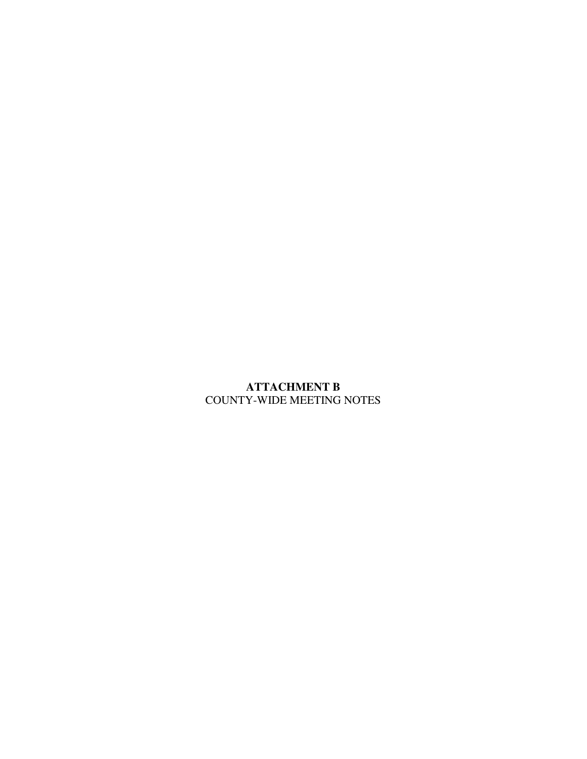## **ATTACHMENT B**  COUNTY-WIDE MEETING NOTES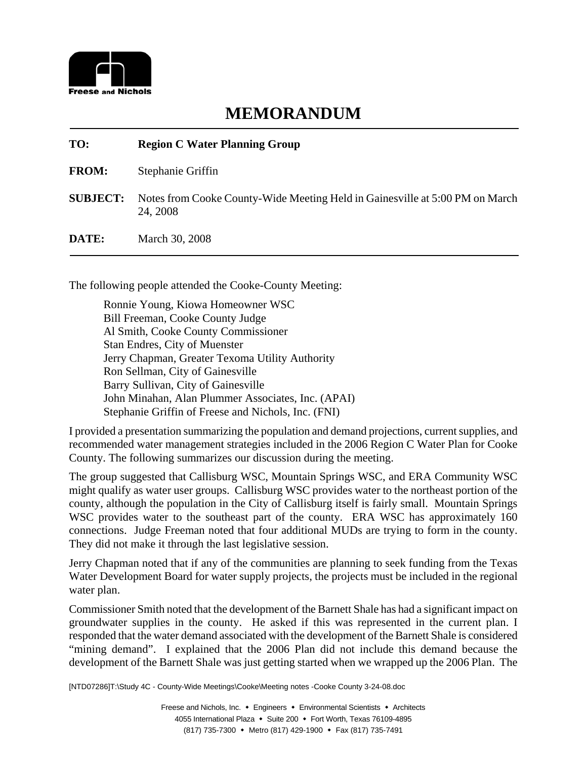

# **TO: Region C Water Planning Group**

**FROM:** Stephanie Griffin

- **SUBJECT:** Notes from Cooke County-Wide Meeting Held in Gainesville at 5:00 PM on March 24, 2008
- **DATE:** March 30, 2008

The following people attended the Cooke-County Meeting:

Ronnie Young, Kiowa Homeowner WSC Bill Freeman, Cooke County Judge Al Smith, Cooke County Commissioner Stan Endres, City of Muenster Jerry Chapman, Greater Texoma Utility Authority Ron Sellman, City of Gainesville Barry Sullivan, City of Gainesville John Minahan, Alan Plummer Associates, Inc. (APAI) Stephanie Griffin of Freese and Nichols, Inc. (FNI)

I provided a presentation summarizing the population and demand projections, current supplies, and recommended water management strategies included in the 2006 Region C Water Plan for Cooke County. The following summarizes our discussion during the meeting.

The group suggested that Callisburg WSC, Mountain Springs WSC, and ERA Community WSC might qualify as water user groups. Callisburg WSC provides water to the northeast portion of the county, although the population in the City of Callisburg itself is fairly small. Mountain Springs WSC provides water to the southeast part of the county. ERA WSC has approximately 160 connections. Judge Freeman noted that four additional MUDs are trying to form in the county. They did not make it through the last legislative session.

Jerry Chapman noted that if any of the communities are planning to seek funding from the Texas Water Development Board for water supply projects, the projects must be included in the regional water plan.

Commissioner Smith noted that the development of the Barnett Shale has had a significant impact on groundwater supplies in the county. He asked if this was represented in the current plan. I responded that the water demand associated with the development of the Barnett Shale is considered "mining demand". I explained that the 2006 Plan did not include this demand because the development of the Barnett Shale was just getting started when we wrapped up the 2006 Plan. The

[NTD07286]T:\Study 4C - County-Wide Meetings\Cooke\Meeting notes -Cooke County 3-24-08.doc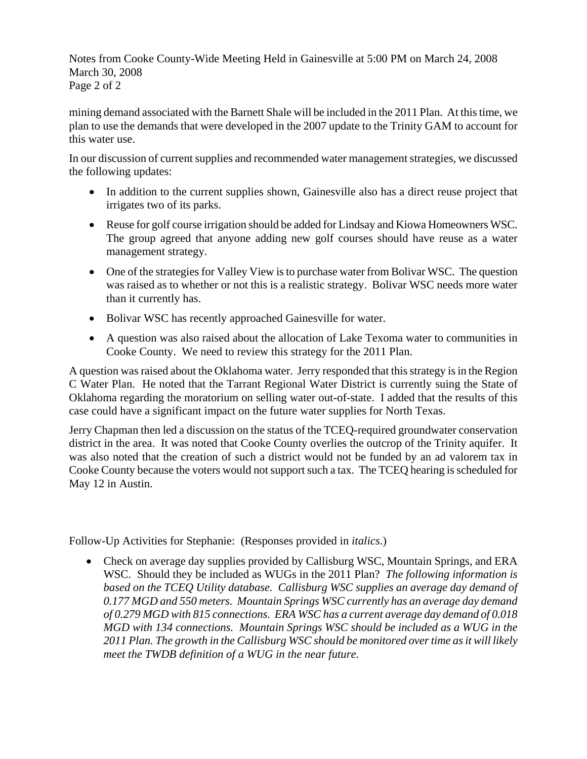Notes from Cooke County-Wide Meeting Held in Gainesville at 5:00 PM on March 24, 2008 March 30, 2008 Page 2 of 2

mining demand associated with the Barnett Shale will be included in the 2011 Plan. At this time, we plan to use the demands that were developed in the 2007 update to the Trinity GAM to account for this water use.

In our discussion of current supplies and recommended water management strategies, we discussed the following updates:

- In addition to the current supplies shown, Gainesville also has a direct reuse project that irrigates two of its parks.
- Reuse for golf course irrigation should be added for Lindsay and Kiowa Homeowners WSC. The group agreed that anyone adding new golf courses should have reuse as a water management strategy.
- One of the strategies for Valley View is to purchase water from Bolivar WSC. The question was raised as to whether or not this is a realistic strategy. Bolivar WSC needs more water than it currently has.
- Bolivar WSC has recently approached Gainesville for water.
- A question was also raised about the allocation of Lake Texoma water to communities in Cooke County. We need to review this strategy for the 2011 Plan.

A question was raised about the Oklahoma water. Jerry responded that this strategy is in the Region C Water Plan. He noted that the Tarrant Regional Water District is currently suing the State of Oklahoma regarding the moratorium on selling water out-of-state. I added that the results of this case could have a significant impact on the future water supplies for North Texas.

Jerry Chapman then led a discussion on the status of the TCEQ-required groundwater conservation district in the area. It was noted that Cooke County overlies the outcrop of the Trinity aquifer. It was also noted that the creation of such a district would not be funded by an ad valorem tax in Cooke County because the voters would not support such a tax. The TCEQ hearing is scheduled for May 12 in Austin.

Follow-Up Activities for Stephanie: (Responses provided in *italics*.)

• Check on average day supplies provided by Callisburg WSC, Mountain Springs, and ERA WSC. Should they be included as WUGs in the 2011 Plan? *The following information is*  based on the TCEO Utility database. Callisburg WSC supplies an average day demand of *0.177 MGD and 550 meters. Mountain Springs WSC currently has an average day demand of 0.279 MGD with 815 connections. ERA WSC has a current average day demand of 0.018 MGD with 134 connections. Mountain Springs WSC should be included as a WUG in the 2011 Plan. The growth in the Callisburg WSC should be monitored over time as it will likely meet the TWDB definition of a WUG in the near future.*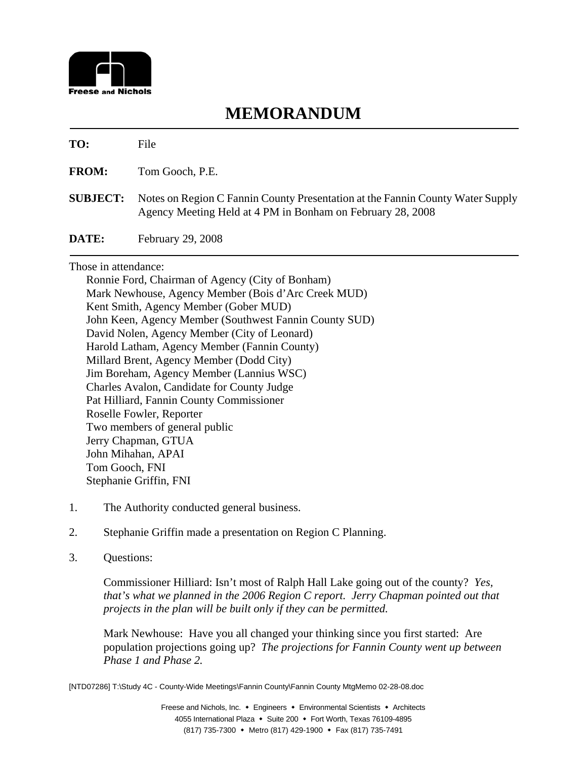

#### **TO:** File

**FROM:** Tom Gooch, P.E.

**SUBJECT:** Notes on Region C Fannin County Presentation at the Fannin County Water Supply Agency Meeting Held at 4 PM in Bonham on February 28, 2008

**DATE:** February 29, 2008

Those in attendance:

Ronnie Ford, Chairman of Agency (City of Bonham) Mark Newhouse, Agency Member (Bois d'Arc Creek MUD) Kent Smith, Agency Member (Gober MUD) John Keen, Agency Member (Southwest Fannin County SUD) David Nolen, Agency Member (City of Leonard) Harold Latham, Agency Member (Fannin County) Millard Brent, Agency Member (Dodd City) Jim Boreham, Agency Member (Lannius WSC) Charles Avalon, Candidate for County Judge Pat Hilliard, Fannin County Commissioner Roselle Fowler, Reporter Two members of general public Jerry Chapman, GTUA John Mihahan, APAI Tom Gooch, FNI Stephanie Griffin, FNI

- 1. The Authority conducted general business.
- 2. Stephanie Griffin made a presentation on Region C Planning.
- 3. Questions:

Commissioner Hilliard: Isn't most of Ralph Hall Lake going out of the county? *Yes, that's what we planned in the 2006 Region C report. Jerry Chapman pointed out that projects in the plan will be built only if they can be permitted.*

Mark Newhouse: Have you all changed your thinking since you first started: Are population projections going up? *The projections for Fannin County went up between Phase 1 and Phase 2.* 

[NTD07286] T:\Study 4C - County-Wide Meetings\Fannin County\Fannin County MtgMemo 02-28-08.doc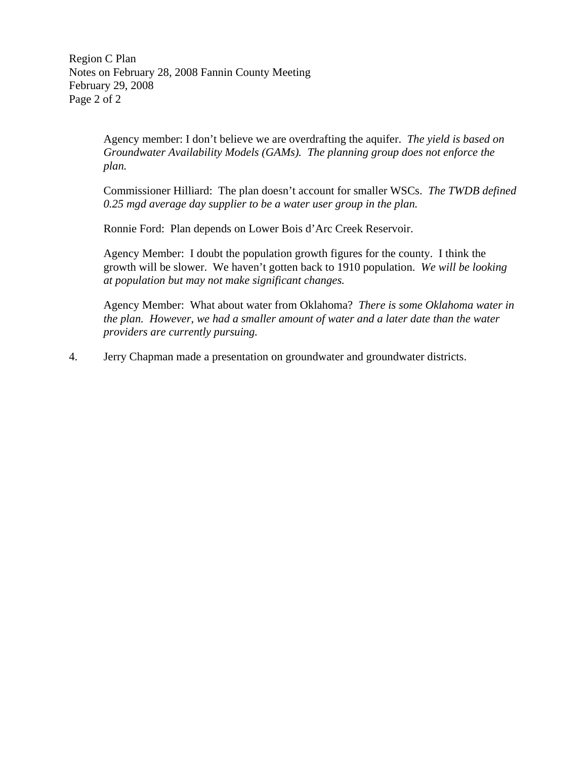Region C Plan Notes on February 28, 2008 Fannin County Meeting February 29, 2008 Page 2 of 2

> Agency member: I don't believe we are overdrafting the aquifer. *The yield is based on Groundwater Availability Models (GAMs). The planning group does not enforce the plan.*

Commissioner Hilliard: The plan doesn't account for smaller WSCs. *The TWDB defined 0.25 mgd average day supplier to be a water user group in the plan.* 

Ronnie Ford: Plan depends on Lower Bois d'Arc Creek Reservoir.

Agency Member: I doubt the population growth figures for the county. I think the growth will be slower. We haven't gotten back to 1910 population. *We will be looking at population but may not make significant changes.* 

Agency Member: What about water from Oklahoma? *There is some Oklahoma water in the plan. However, we had a smaller amount of water and a later date than the water providers are currently pursuing.* 

4. Jerry Chapman made a presentation on groundwater and groundwater districts.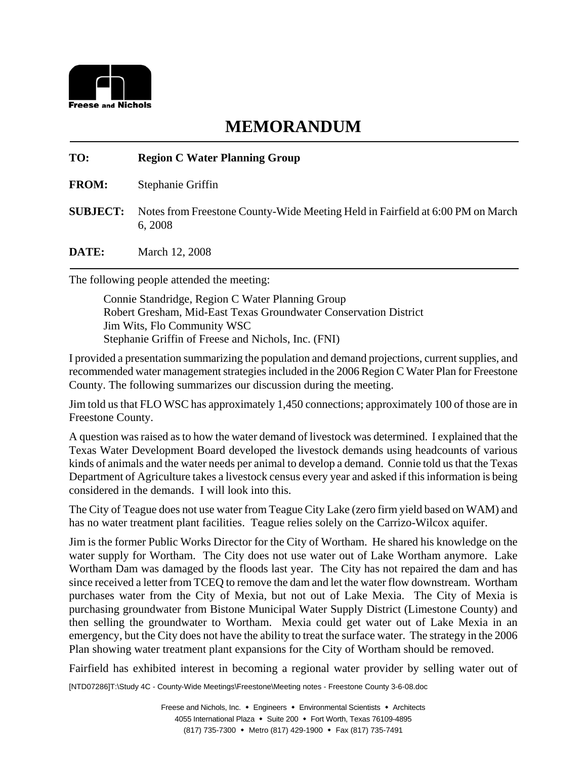

#### **TO: Region C Water Planning Group**

**FROM:** Stephanie Griffin

**SUBJECT:** Notes from Freestone County-Wide Meeting Held in Fairfield at 6:00 PM on March 6, 2008

**DATE:** March 12, 2008

The following people attended the meeting:

Connie Standridge, Region C Water Planning Group Robert Gresham, Mid-East Texas Groundwater Conservation District Jim Wits, Flo Community WSC Stephanie Griffin of Freese and Nichols, Inc. (FNI)

I provided a presentation summarizing the population and demand projections, current supplies, and recommended water management strategies included in the 2006 Region C Water Plan for Freestone County. The following summarizes our discussion during the meeting.

Jim told us that FLO WSC has approximately 1,450 connections; approximately 100 of those are in Freestone County.

A question was raised as to how the water demand of livestock was determined. I explained that the Texas Water Development Board developed the livestock demands using headcounts of various kinds of animals and the water needs per animal to develop a demand. Connie told us that the Texas Department of Agriculture takes a livestock census every year and asked if this information is being considered in the demands. I will look into this.

The City of Teague does not use water from Teague City Lake (zero firm yield based on WAM) and has no water treatment plant facilities. Teague relies solely on the Carrizo-Wilcox aquifer.

Jim is the former Public Works Director for the City of Wortham. He shared his knowledge on the water supply for Wortham. The City does not use water out of Lake Wortham anymore. Lake Wortham Dam was damaged by the floods last year. The City has not repaired the dam and has since received a letter from TCEQ to remove the dam and let the water flow downstream. Wortham purchases water from the City of Mexia, but not out of Lake Mexia. The City of Mexia is purchasing groundwater from Bistone Municipal Water Supply District (Limestone County) and then selling the groundwater to Wortham. Mexia could get water out of Lake Mexia in an emergency, but the City does not have the ability to treat the surface water. The strategy in the 2006 Plan showing water treatment plant expansions for the City of Wortham should be removed.

Fairfield has exhibited interest in becoming a regional water provider by selling water out of

[NTD07286]T:\Study 4C - County-Wide Meetings\Freestone\Meeting notes - Freestone County 3-6-08.doc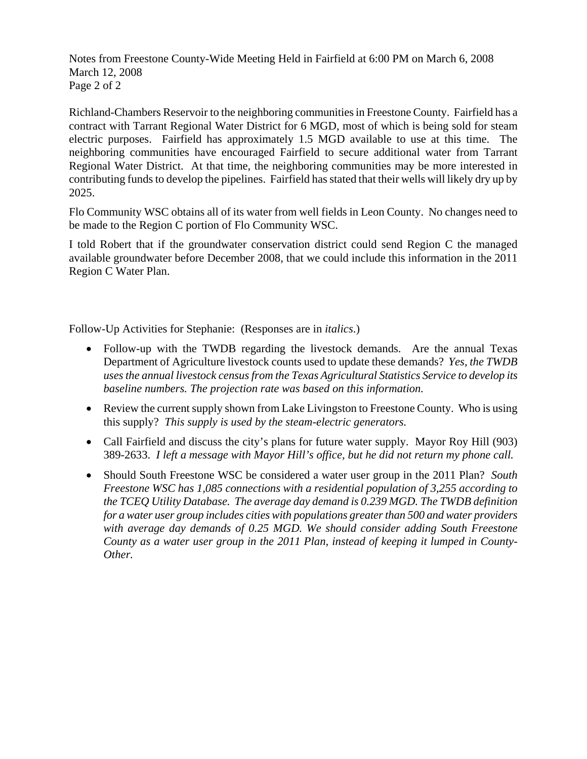Notes from Freestone County-Wide Meeting Held in Fairfield at 6:00 PM on March 6, 2008 March 12, 2008 Page 2 of 2

Richland-Chambers Reservoir to the neighboring communities in Freestone County. Fairfield has a contract with Tarrant Regional Water District for 6 MGD, most of which is being sold for steam electric purposes. Fairfield has approximately 1.5 MGD available to use at this time. The neighboring communities have encouraged Fairfield to secure additional water from Tarrant Regional Water District. At that time, the neighboring communities may be more interested in contributing funds to develop the pipelines. Fairfield has stated that their wells will likely dry up by 2025.

Flo Community WSC obtains all of its water from well fields in Leon County. No changes need to be made to the Region C portion of Flo Community WSC.

I told Robert that if the groundwater conservation district could send Region C the managed available groundwater before December 2008, that we could include this information in the 2011 Region C Water Plan.

Follow-Up Activities for Stephanie: (Responses are in *italics*.)

- Follow-up with the TWDB regarding the livestock demands. Are the annual Texas Department of Agriculture livestock counts used to update these demands? *Yes, the TWDB uses the annual livestock census from the Texas Agricultural Statistics Service to develop its baseline numbers. The projection rate was based on this information.*
- Review the current supply shown from Lake Livingston to Freestone County. Who is using this supply? *This supply is used by the steam-electric generators.*
- Call Fairfield and discuss the city's plans for future water supply. Mayor Roy Hill (903) 389-2633. *I left a message with Mayor Hill's office, but he did not return my phone call.*
- Should South Freestone WSC be considered a water user group in the 2011 Plan? *South Freestone WSC has 1,085 connections with a residential population of 3,255 according to the TCEQ Utility Database. The average day demand is 0.239 MGD. The TWDB definition for a water user group includes cities with populations greater than 500 and water providers with average day demands of 0.25 MGD. We should consider adding South Freestone County as a water user group in the 2011 Plan, instead of keeping it lumped in County-Other.*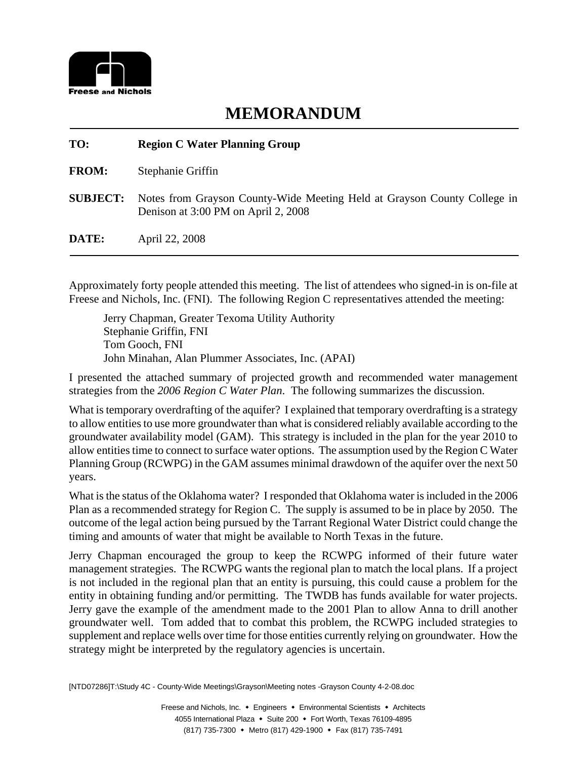

| TO:             | <b>Region C Water Planning Group</b>                                                                            |
|-----------------|-----------------------------------------------------------------------------------------------------------------|
| <b>FROM:</b>    | Stephanie Griffin                                                                                               |
| <b>SUBJECT:</b> | Notes from Grayson County-Wide Meeting Held at Grayson County College in<br>Denison at 3:00 PM on April 2, 2008 |
| DATE:           | April 22, 2008                                                                                                  |

Approximately forty people attended this meeting. The list of attendees who signed-in is on-file at Freese and Nichols, Inc. (FNI). The following Region C representatives attended the meeting:

Jerry Chapman, Greater Texoma Utility Authority Stephanie Griffin, FNI Tom Gooch, FNI John Minahan, Alan Plummer Associates, Inc. (APAI)

I presented the attached summary of projected growth and recommended water management strategies from the *2006 Region C Water Plan*. The following summarizes the discussion.

What is temporary overdrafting of the aquifer? I explained that temporary overdrafting is a strategy to allow entities to use more groundwater than what is considered reliably available according to the groundwater availability model (GAM). This strategy is included in the plan for the year 2010 to allow entities time to connect to surface water options. The assumption used by the Region C Water Planning Group (RCWPG) in the GAM assumes minimal drawdown of the aquifer over the next 50 years.

What is the status of the Oklahoma water? I responded that Oklahoma water is included in the 2006 Plan as a recommended strategy for Region C. The supply is assumed to be in place by 2050. The outcome of the legal action being pursued by the Tarrant Regional Water District could change the timing and amounts of water that might be available to North Texas in the future.

Jerry Chapman encouraged the group to keep the RCWPG informed of their future water management strategies. The RCWPG wants the regional plan to match the local plans. If a project is not included in the regional plan that an entity is pursuing, this could cause a problem for the entity in obtaining funding and/or permitting. The TWDB has funds available for water projects. Jerry gave the example of the amendment made to the 2001 Plan to allow Anna to drill another groundwater well. Tom added that to combat this problem, the RCWPG included strategies to supplement and replace wells over time for those entities currently relying on groundwater. How the strategy might be interpreted by the regulatory agencies is uncertain.

[NTD07286]T:\Study 4C - County-Wide Meetings\Grayson\Meeting notes -Grayson County 4-2-08.doc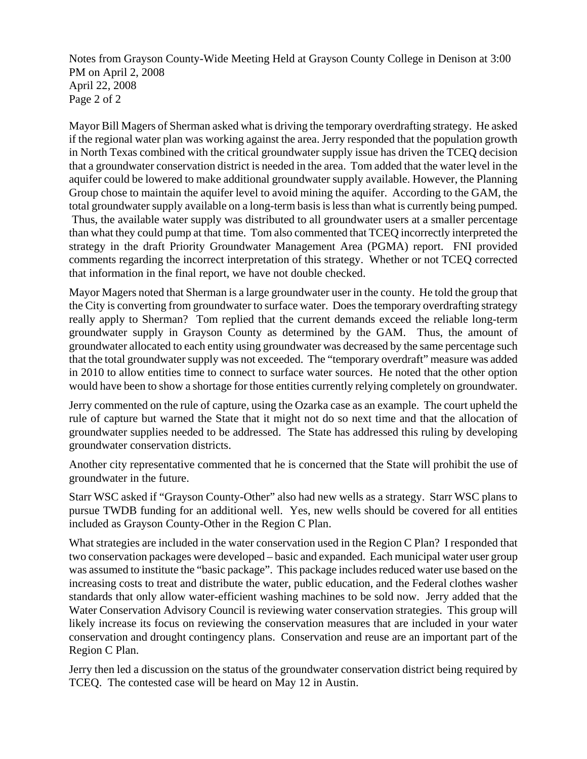Notes from Grayson County-Wide Meeting Held at Grayson County College in Denison at 3:00 PM on April 2, 2008 April 22, 2008 Page 2 of 2

Mayor Bill Magers of Sherman asked what is driving the temporary overdrafting strategy. He asked if the regional water plan was working against the area. Jerry responded that the population growth in North Texas combined with the critical groundwater supply issue has driven the TCEQ decision that a groundwater conservation district is needed in the area. Tom added that the water level in the aquifer could be lowered to make additional groundwater supply available. However, the Planning Group chose to maintain the aquifer level to avoid mining the aquifer. According to the GAM, the total groundwater supply available on a long-term basis is less than what is currently being pumped. Thus, the available water supply was distributed to all groundwater users at a smaller percentage than what they could pump at that time. Tom also commented that TCEQ incorrectly interpreted the strategy in the draft Priority Groundwater Management Area (PGMA) report. FNI provided comments regarding the incorrect interpretation of this strategy. Whether or not TCEQ corrected that information in the final report, we have not double checked.

Mayor Magers noted that Sherman is a large groundwater user in the county. He told the group that the City is converting from groundwater to surface water. Does the temporary overdrafting strategy really apply to Sherman? Tom replied that the current demands exceed the reliable long-term groundwater supply in Grayson County as determined by the GAM. Thus, the amount of groundwater allocated to each entity using groundwater was decreased by the same percentage such that the total groundwater supply was not exceeded. The "temporary overdraft" measure was added in 2010 to allow entities time to connect to surface water sources. He noted that the other option would have been to show a shortage for those entities currently relying completely on groundwater.

Jerry commented on the rule of capture, using the Ozarka case as an example. The court upheld the rule of capture but warned the State that it might not do so next time and that the allocation of groundwater supplies needed to be addressed. The State has addressed this ruling by developing groundwater conservation districts.

Another city representative commented that he is concerned that the State will prohibit the use of groundwater in the future.

Starr WSC asked if "Grayson County-Other" also had new wells as a strategy. Starr WSC plans to pursue TWDB funding for an additional well. Yes, new wells should be covered for all entities included as Grayson County-Other in the Region C Plan.

What strategies are included in the water conservation used in the Region C Plan? I responded that two conservation packages were developed – basic and expanded. Each municipal water user group was assumed to institute the "basic package". This package includes reduced water use based on the increasing costs to treat and distribute the water, public education, and the Federal clothes washer standards that only allow water-efficient washing machines to be sold now. Jerry added that the Water Conservation Advisory Council is reviewing water conservation strategies. This group will likely increase its focus on reviewing the conservation measures that are included in your water conservation and drought contingency plans. Conservation and reuse are an important part of the Region C Plan.

Jerry then led a discussion on the status of the groundwater conservation district being required by TCEQ. The contested case will be heard on May 12 in Austin.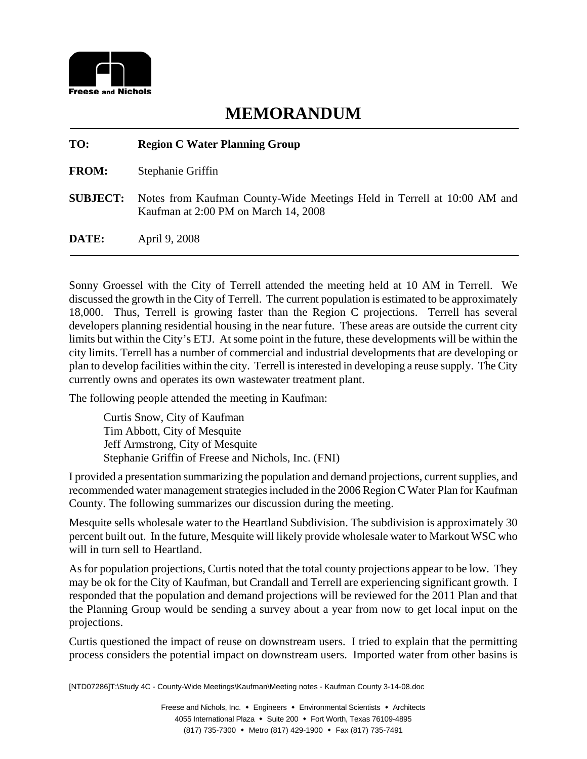

| TO:             | <b>Region C Water Planning Group</b>                                                                            |
|-----------------|-----------------------------------------------------------------------------------------------------------------|
| <b>FROM:</b>    | Stephanie Griffin                                                                                               |
| <b>SUBJECT:</b> | Notes from Kaufman County-Wide Meetings Held in Terrell at 10:00 AM and<br>Kaufman at 2:00 PM on March 14, 2008 |
| DATE:           | April 9, 2008                                                                                                   |

Sonny Groessel with the City of Terrell attended the meeting held at 10 AM in Terrell. We discussed the growth in the City of Terrell. The current population is estimated to be approximately 18,000. Thus, Terrell is growing faster than the Region C projections. Terrell has several developers planning residential housing in the near future. These areas are outside the current city limits but within the City's ETJ. At some point in the future, these developments will be within the city limits. Terrell has a number of commercial and industrial developments that are developing or plan to develop facilities within the city. Terrell is interested in developing a reuse supply. The City currently owns and operates its own wastewater treatment plant.

The following people attended the meeting in Kaufman:

Curtis Snow, City of Kaufman Tim Abbott, City of Mesquite Jeff Armstrong, City of Mesquite Stephanie Griffin of Freese and Nichols, Inc. (FNI)

I provided a presentation summarizing the population and demand projections, current supplies, and recommended water management strategies included in the 2006 Region C Water Plan for Kaufman County. The following summarizes our discussion during the meeting.

Mesquite sells wholesale water to the Heartland Subdivision. The subdivision is approximately 30 percent built out. In the future, Mesquite will likely provide wholesale water to Markout WSC who will in turn sell to Heartland.

As for population projections, Curtis noted that the total county projections appear to be low. They may be ok for the City of Kaufman, but Crandall and Terrell are experiencing significant growth. I responded that the population and demand projections will be reviewed for the 2011 Plan and that the Planning Group would be sending a survey about a year from now to get local input on the projections.

Curtis questioned the impact of reuse on downstream users. I tried to explain that the permitting process considers the potential impact on downstream users. Imported water from other basins is

[NTD07286]T:\Study 4C - County-Wide Meetings\Kaufman\Meeting notes - Kaufman County 3-14-08.doc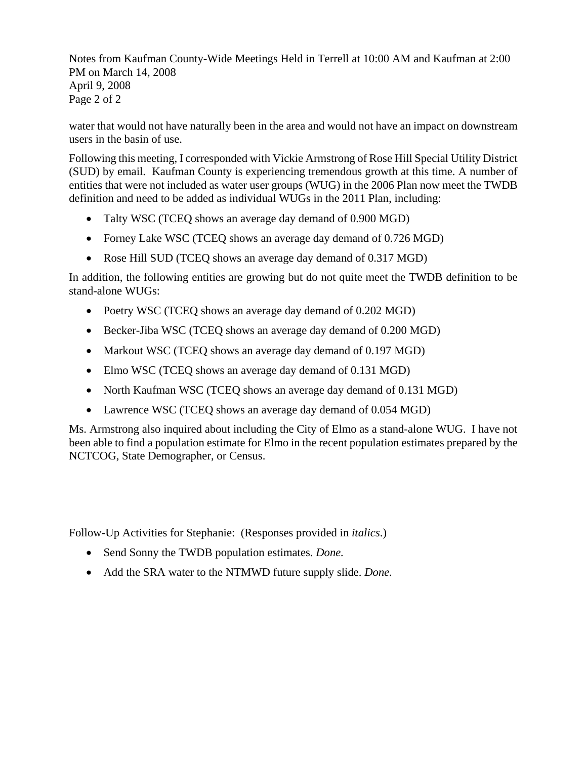Notes from Kaufman County-Wide Meetings Held in Terrell at 10:00 AM and Kaufman at 2:00 PM on March 14, 2008 April 9, 2008 Page 2 of 2

water that would not have naturally been in the area and would not have an impact on downstream users in the basin of use.

Following this meeting, I corresponded with Vickie Armstrong of Rose Hill Special Utility District (SUD) by email. Kaufman County is experiencing tremendous growth at this time. A number of entities that were not included as water user groups (WUG) in the 2006 Plan now meet the TWDB definition and need to be added as individual WUGs in the 2011 Plan, including:

- Talty WSC (TCEQ shows an average day demand of 0.900 MGD)
- Forney Lake WSC (TCEQ shows an average day demand of 0.726 MGD)
- Rose Hill SUD (TCEQ shows an average day demand of 0.317 MGD)

In addition, the following entities are growing but do not quite meet the TWDB definition to be stand-alone WUGs:

- Poetry WSC (TCEQ shows an average day demand of 0.202 MGD)
- Becker-Jiba WSC (TCEQ shows an average day demand of 0.200 MGD)
- Markout WSC (TCEQ shows an average day demand of 0.197 MGD)
- Elmo WSC (TCEO shows an average day demand of 0.131 MGD)
- North Kaufman WSC (TCEQ shows an average day demand of 0.131 MGD)
- Lawrence WSC (TCEQ shows an average day demand of 0.054 MGD)

Ms. Armstrong also inquired about including the City of Elmo as a stand-alone WUG. I have not been able to find a population estimate for Elmo in the recent population estimates prepared by the NCTCOG, State Demographer, or Census.

Follow-Up Activities for Stephanie: (Responses provided in *italics*.)

- Send Sonny the TWDB population estimates. *Done.*
- Add the SRA water to the NTMWD future supply slide. *Done.*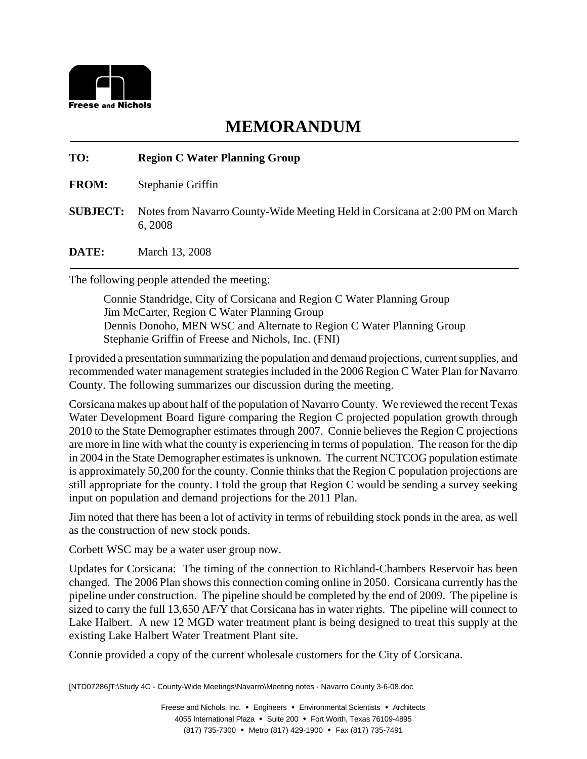

## **TO: Region C Water Planning Group**

**FROM:** Stephanie Griffin

**SUBJECT:** Notes from Navarro County-Wide Meeting Held in Corsicana at 2:00 PM on March 6, 2008

**DATE:** March 13, 2008

The following people attended the meeting:

Connie Standridge, City of Corsicana and Region C Water Planning Group Jim McCarter, Region C Water Planning Group Dennis Donoho, MEN WSC and Alternate to Region C Water Planning Group Stephanie Griffin of Freese and Nichols, Inc. (FNI)

I provided a presentation summarizing the population and demand projections, current supplies, and recommended water management strategies included in the 2006 Region C Water Plan for Navarro County. The following summarizes our discussion during the meeting.

Corsicana makes up about half of the population of Navarro County. We reviewed the recent Texas Water Development Board figure comparing the Region C projected population growth through 2010 to the State Demographer estimates through 2007. Connie believes the Region C projections are more in line with what the county is experiencing in terms of population. The reason for the dip in 2004 in the State Demographer estimates is unknown. The current NCTCOG population estimate is approximately 50,200 for the county. Connie thinks that the Region C population projections are still appropriate for the county. I told the group that Region C would be sending a survey seeking input on population and demand projections for the 2011 Plan.

Jim noted that there has been a lot of activity in terms of rebuilding stock ponds in the area, as well as the construction of new stock ponds.

Corbett WSC may be a water user group now.

Updates for Corsicana: The timing of the connection to Richland-Chambers Reservoir has been changed. The 2006 Plan shows this connection coming online in 2050. Corsicana currently has the pipeline under construction. The pipeline should be completed by the end of 2009. The pipeline is sized to carry the full 13,650 AF/Y that Corsicana has in water rights. The pipeline will connect to Lake Halbert. A new 12 MGD water treatment plant is being designed to treat this supply at the existing Lake Halbert Water Treatment Plant site.

Connie provided a copy of the current wholesale customers for the City of Corsicana.

[NTD07286]T:\Study 4C - County-Wide Meetings\Navarro\Meeting notes - Navarro County 3-6-08.doc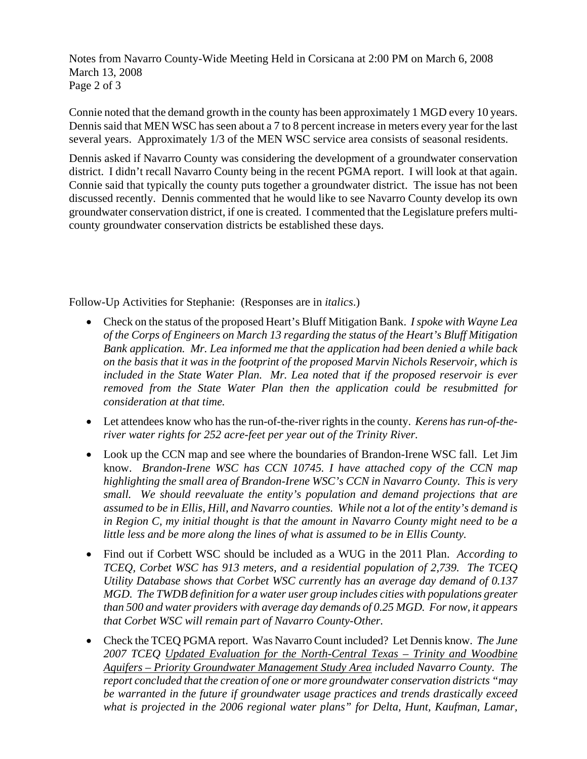Notes from Navarro County-Wide Meeting Held in Corsicana at 2:00 PM on March 6, 2008 March 13, 2008 Page 2 of 3

Connie noted that the demand growth in the county has been approximately 1 MGD every 10 years. Dennis said that MEN WSC has seen about a 7 to 8 percent increase in meters every year for the last several years. Approximately 1/3 of the MEN WSC service area consists of seasonal residents.

Dennis asked if Navarro County was considering the development of a groundwater conservation district. I didn't recall Navarro County being in the recent PGMA report. I will look at that again. Connie said that typically the county puts together a groundwater district. The issue has not been discussed recently. Dennis commented that he would like to see Navarro County develop its own groundwater conservation district, if one is created. I commented that the Legislature prefers multicounty groundwater conservation districts be established these days.

Follow-Up Activities for Stephanie: (Responses are in *italics*.)

- Check on the status of the proposed Heart's Bluff Mitigation Bank. *I spoke with Wayne Lea of the Corps of Engineers on March 13 regarding the status of the Heart's Bluff Mitigation Bank application. Mr. Lea informed me that the application had been denied a while back on the basis that it was in the footprint of the proposed Marvin Nichols Reservoir, which is included in the State Water Plan. Mr. Lea noted that if the proposed reservoir is ever removed from the State Water Plan then the application could be resubmitted for consideration at that time.*
- Let attendees know who has the run-of-the-river rights in the county. *Kerens has run-of-theriver water rights for 252 acre-feet per year out of the Trinity River.*
- Look up the CCN map and see where the boundaries of Brandon-Irene WSC fall. Let Jim know. *Brandon-Irene WSC has CCN 10745. I have attached copy of the CCN map highlighting the small area of Brandon-Irene WSC's CCN in Navarro County. This is very small. We should reevaluate the entity's population and demand projections that are assumed to be in Ellis, Hill, and Navarro counties. While not a lot of the entity's demand is in Region C, my initial thought is that the amount in Navarro County might need to be a little less and be more along the lines of what is assumed to be in Ellis County.*
- Find out if Corbett WSC should be included as a WUG in the 2011 Plan. *According to TCEQ, Corbet WSC has 913 meters, and a residential population of 2,739. The TCEQ Utility Database shows that Corbet WSC currently has an average day demand of 0.137 MGD. The TWDB definition for a water user group includes cities with populations greater than 500 and water providers with average day demands of 0.25 MGD. For now, it appears that Corbet WSC will remain part of Navarro County-Other.*
- Check the TCEQ PGMA report. Was Navarro Count included? Let Dennis know. *The June 2007 TCEQ Updated Evaluation for the North-Central Texas – Trinity and Woodbine Aquifers – Priority Groundwater Management Study Area included Navarro County. The report concluded that the creation of one or more groundwater conservation districts "may be warranted in the future if groundwater usage practices and trends drastically exceed what is projected in the 2006 regional water plans" for Delta, Hunt, Kaufman, Lamar,*